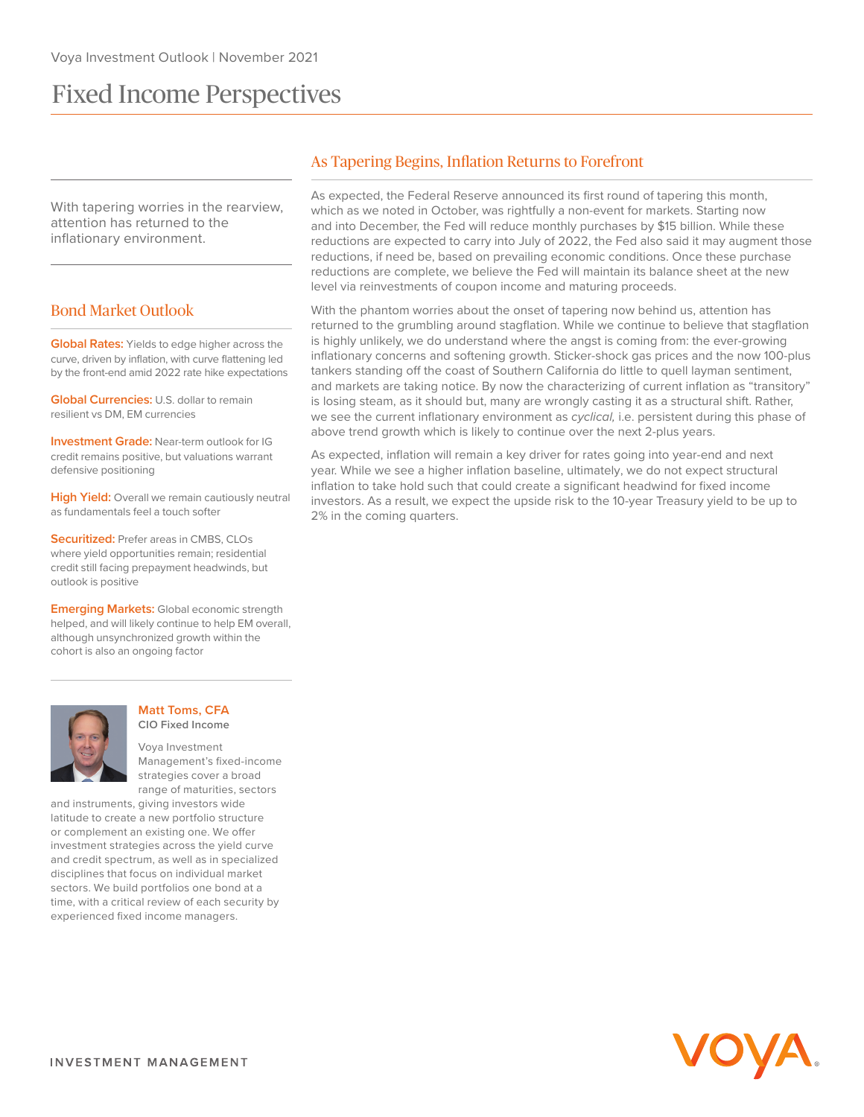# Fixed Income Perspectives

With tapering worries in the rearview, attention has returned to the inflationary environment.

## Bond Market Outlook

**Global Rates:** Yields to edge higher across the curve, driven by inflation, with curve flattening led by the front-end amid 2022 rate hike expectations

**Global Currencies:** U.S. dollar to remain resilient vs DM, EM currencies

**Investment Grade:** Near-term outlook for IG credit remains positive, but valuations warrant defensive positioning

**High Yield:** Overall we remain cautiously neutral as fundamentals feel a touch softer

**Securitized:** Prefer areas in CMBS, CLOs where yield opportunities remain; residential credit still facing prepayment headwinds, but outlook is positive

**Emerging Markets:** Global economic strength helped, and will likely continue to help EM overall, although unsynchronized growth within the cohort is also an ongoing factor



**Matt Toms, CFA CIO Fixed Income**

Voya Investment Management's fixed-income strategies cover a broad range of maturities, sectors

and instruments, giving investors wide latitude to create a new portfolio structure or complement an existing one. We offer investment strategies across the yield curve and credit spectrum, as well as in specialized disciplines that focus on individual market sectors. We build portfolios one bond at a time, with a critical review of each security by experienced fixed income managers.

# As Tapering Begins, Inflation Returns to Forefront

As expected, the Federal Reserve announced its first round of tapering this month, which as we noted in October, was rightfully a non-event for markets. Starting now and into December, the Fed will reduce monthly purchases by \$15 billion. While these reductions are expected to carry into July of 2022, the Fed also said it may augment those reductions, if need be, based on prevailing economic conditions. Once these purchase reductions are complete, we believe the Fed will maintain its balance sheet at the new level via reinvestments of coupon income and maturing proceeds.

With the phantom worries about the onset of tapering now behind us, attention has returned to the grumbling around stagflation. While we continue to believe that stagflation is highly unlikely, we do understand where the angst is coming from: the ever-growing inflationary concerns and softening growth. Sticker-shock gas prices and the now 100-plus tankers standing off the coast of Southern California do little to quell layman sentiment, and markets are taking notice. By now the characterizing of current inflation as "transitory" is losing steam, as it should but, many are wrongly casting it as a structural shift. Rather, we see the current inflationary environment as *cyclical*, i.e. persistent during this phase of above trend growth which is likely to continue over the next 2-plus years.

As expected, inflation will remain a key driver for rates going into year-end and next year. While we see a higher inflation baseline, ultimately, we do not expect structural inflation to take hold such that could create a significant headwind for fixed income investors. As a result, we expect the upside risk to the 10-year Treasury yield to be up to 2% in the coming quarters.

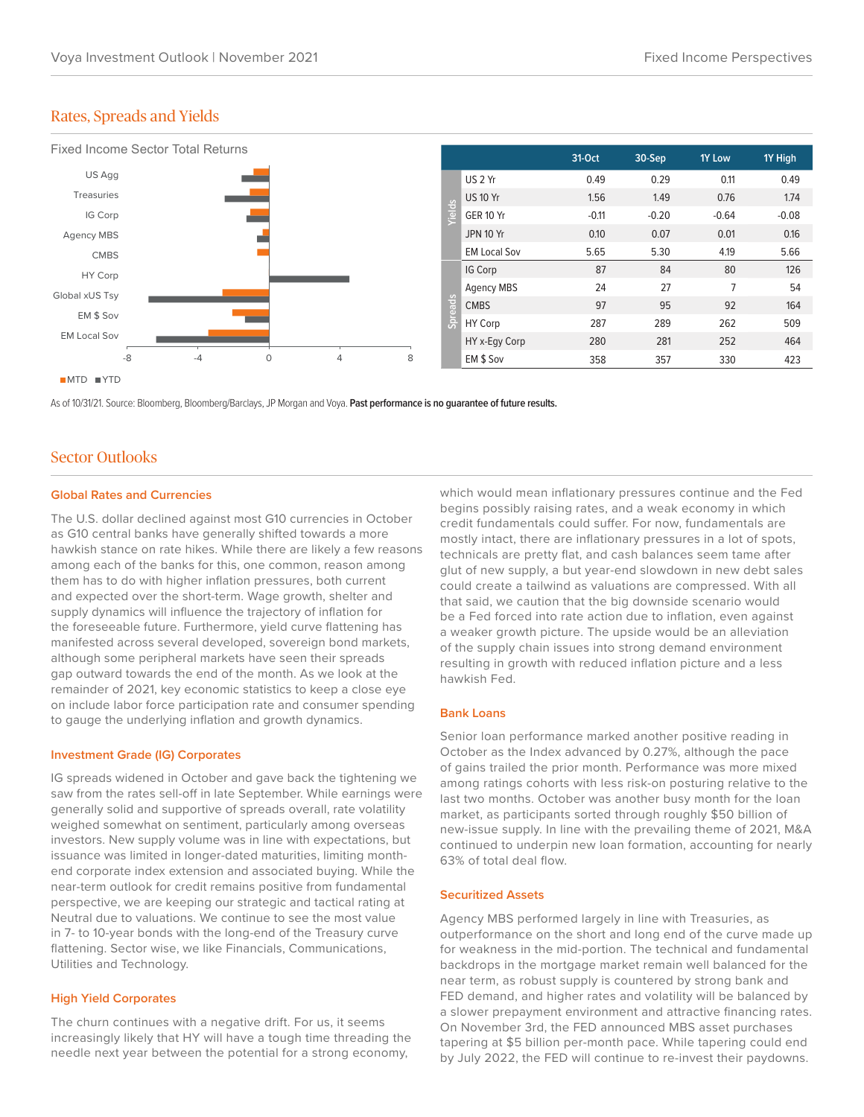## Rates, Spreads and Yields



As of 10/31/21. Source: Bloomberg, Bloomberg/Barclays, JP Morgan and Voya. **Past performance is no guarantee of future results.**

## Sector Outlooks

#### **Global Rates and Currencies**

The U.S. dollar declined against most G10 currencies in October as G10 central banks have generally shifted towards a more hawkish stance on rate hikes. While there are likely a few reasons among each of the banks for this, one common, reason among them has to do with higher inflation pressures, both current and expected over the short-term. Wage growth, shelter and supply dynamics will influence the trajectory of inflation for the foreseeable future. Furthermore, yield curve flattening has manifested across several developed, sovereign bond markets, although some peripheral markets have seen their spreads gap outward towards the end of the month. As we look at the remainder of 2021, key economic statistics to keep a close eye on include labor force participation rate and consumer spending to gauge the underlying inflation and growth dynamics.

#### **Investment Grade (IG) Corporates**

IG spreads widened in October and gave back the tightening we saw from the rates sell-off in late September. While earnings were generally solid and supportive of spreads overall, rate volatility weighed somewhat on sentiment, particularly among overseas investors. New supply volume was in line with expectations, but issuance was limited in longer-dated maturities, limiting monthend corporate index extension and associated buying. While the near-term outlook for credit remains positive from fundamental perspective, we are keeping our strategic and tactical rating at Neutral due to valuations. We continue to see the most value in 7- to 10-year bonds with the long-end of the Treasury curve flattening. Sector wise, we like Financials, Communications, Utilities and Technology.

## **High Yield Corporates**

The churn continues with a negative drift. For us, it seems increasingly likely that HY will have a tough time threading the needle next year between the potential for a strong economy,

which would mean inflationary pressures continue and the Fed begins possibly raising rates, and a weak economy in which credit fundamentals could suffer. For now, fundamentals are mostly intact, there are inflationary pressures in a lot of spots, technicals are pretty flat, and cash balances seem tame after glut of new supply, a but year-end slowdown in new debt sales could create a tailwind as valuations are compressed. With all that said, we caution that the big downside scenario would be a Fed forced into rate action due to inflation, even against a weaker growth picture. The upside would be an alleviation of the supply chain issues into strong demand environment resulting in growth with reduced inflation picture and a less hawkish Fed.

#### **Bank Loans**

Senior loan performance marked another positive reading in October as the Index advanced by 0.27%, although the pace of gains trailed the prior month. Performance was more mixed among ratings cohorts with less risk-on posturing relative to the last two months. October was another busy month for the loan market, as participants sorted through roughly \$50 billion of new-issue supply. In line with the prevailing theme of 2021, M&A continued to underpin new loan formation, accounting for nearly 63% of total deal flow.

#### **Securitized Assets**

Agency MBS performed largely in line with Treasuries, as outperformance on the short and long end of the curve made up for weakness in the mid-portion. The technical and fundamental backdrops in the mortgage market remain well balanced for the near term, as robust supply is countered by strong bank and FED demand, and higher rates and volatility will be balanced by a slower prepayment environment and attractive financing rates. On November 3rd, the FED announced MBS asset purchases tapering at \$5 billion per-month pace. While tapering could end by July 2022, the FED will continue to re-invest their paydowns.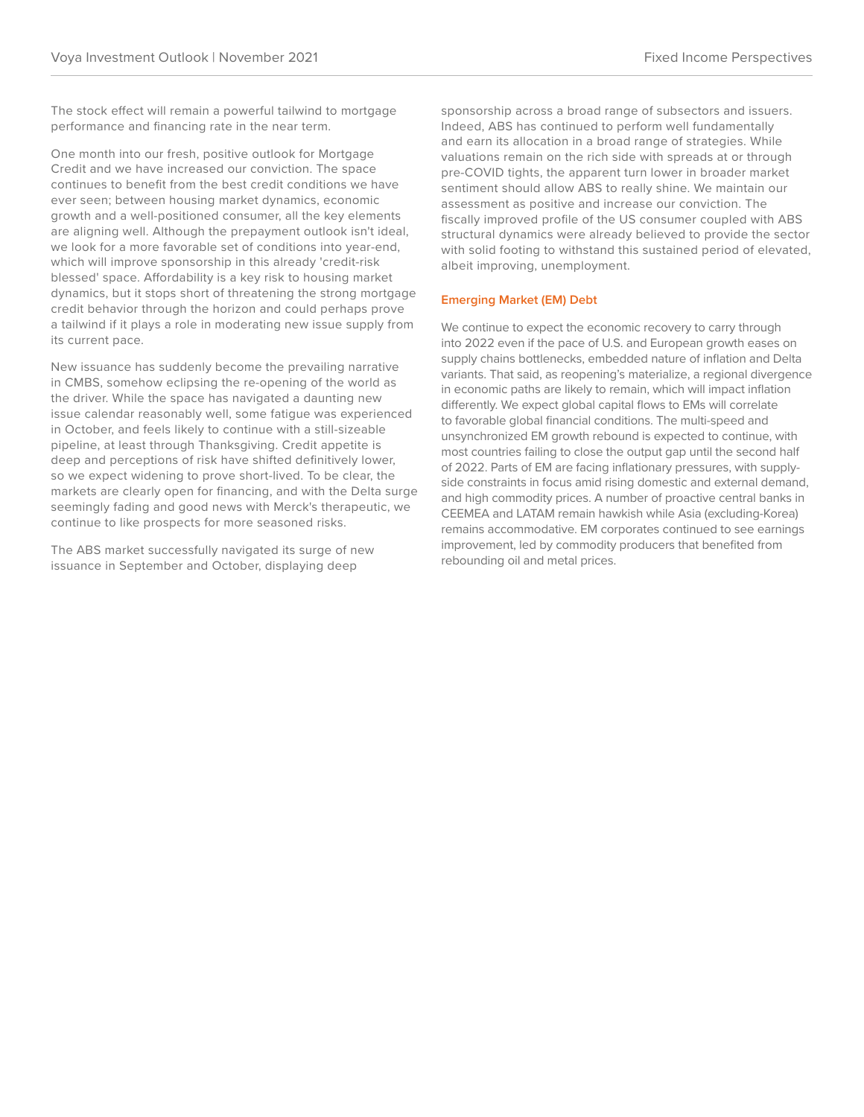The stock effect will remain a powerful tailwind to mortgage performance and financing rate in the near term.

One month into our fresh, positive outlook for Mortgage Credit and we have increased our conviction. The space continues to benefit from the best credit conditions we have ever seen; between housing market dynamics, economic growth and a well-positioned consumer, all the key elements are aligning well. Although the prepayment outlook isn't ideal, we look for a more favorable set of conditions into year-end, which will improve sponsorship in this already 'credit-risk blessed' space. Affordability is a key risk to housing market dynamics, but it stops short of threatening the strong mortgage credit behavior through the horizon and could perhaps prove a tailwind if it plays a role in moderating new issue supply from its current pace.

New issuance has suddenly become the prevailing narrative in CMBS, somehow eclipsing the re-opening of the world as the driver. While the space has navigated a daunting new issue calendar reasonably well, some fatigue was experienced in October, and feels likely to continue with a still-sizeable pipeline, at least through Thanksgiving. Credit appetite is deep and perceptions of risk have shifted definitively lower, so we expect widening to prove short-lived. To be clear, the markets are clearly open for financing, and with the Delta surge seemingly fading and good news with Merck's therapeutic, we continue to like prospects for more seasoned risks.

The ABS market successfully navigated its surge of new issuance in September and October, displaying deep

sponsorship across a broad range of subsectors and issuers. Indeed, ABS has continued to perform well fundamentally and earn its allocation in a broad range of strategies. While valuations remain on the rich side with spreads at or through pre-COVID tights, the apparent turn lower in broader market sentiment should allow ABS to really shine. We maintain our assessment as positive and increase our conviction. The fiscally improved profile of the US consumer coupled with ABS structural dynamics were already believed to provide the sector with solid footing to withstand this sustained period of elevated, albeit improving, unemployment.

## **Emerging Market (EM) Debt**

We continue to expect the economic recovery to carry through into 2022 even if the pace of U.S. and European growth eases on supply chains bottlenecks, embedded nature of inflation and Delta variants. That said, as reopening's materialize, a regional divergence in economic paths are likely to remain, which will impact inflation differently. We expect global capital flows to EMs will correlate to favorable global financial conditions. The multi-speed and unsynchronized EM growth rebound is expected to continue, with most countries failing to close the output gap until the second half of 2022. Parts of EM are facing inflationary pressures, with supplyside constraints in focus amid rising domestic and external demand, and high commodity prices. A number of proactive central banks in CEEMEA and LATAM remain hawkish while Asia (excluding-Korea) remains accommodative. EM corporates continued to see earnings improvement, led by commodity producers that benefited from rebounding oil and metal prices.